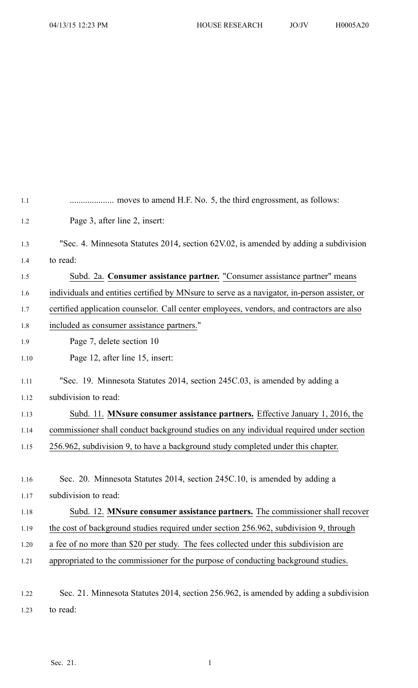| 1.1  |                                                                                              |
|------|----------------------------------------------------------------------------------------------|
| 1.2  | Page 3, after line 2, insert:                                                                |
| 1.3  | "Sec. 4. Minnesota Statutes 2014, section 62V.02, is amended by adding a subdivision         |
| 1.4  | to read:                                                                                     |
| 1.5  | Subd. 2a. Consumer assistance partner. "Consumer assistance partner" means                   |
| 1.6  | individuals and entities certified by MNsure to serve as a navigator, in-person assister, or |
| 1.7  | certified application counselor. Call center employees, vendors, and contractors are also    |
| 1.8  | included as consumer assistance partners."                                                   |
| 1.9  | Page 7, delete section 10                                                                    |
| 1.10 | Page 12, after line 15, insert:                                                              |
| 1.11 | "Sec. 19. Minnesota Statutes 2014, section 245C.03, is amended by adding a                   |
| 1.12 | subdivision to read:                                                                         |
| 1.13 | Subd. 11. MNsure consumer assistance partners. Effective January 1, 2016, the                |
| 1.14 | commissioner shall conduct background studies on any individual required under section       |
| 1.15 | 256.962, subdivision 9, to have a background study completed under this chapter.             |
|      |                                                                                              |
| 1.16 | Sec. 20. Minnesota Statutes 2014, section 245C.10, is amended by adding a                    |
| 1.17 | subdivision to read:                                                                         |
| 1.18 | Subd. 12. MNsure consumer assistance partners. The commissioner shall recover                |
| 1.19 | the cost of background studies required under section 256.962, subdivision 9, through        |
| 1.20 | a fee of no more than \$20 per study. The fees collected under this subdivision are          |
| 1.21 | appropriated to the commissioner for the purpose of conducting background studies.           |
|      |                                                                                              |
| 1.22 | Sec. 21. Minnesota Statutes 2014, section 256.962, is amended by adding a subdivision        |

1.23 to read: